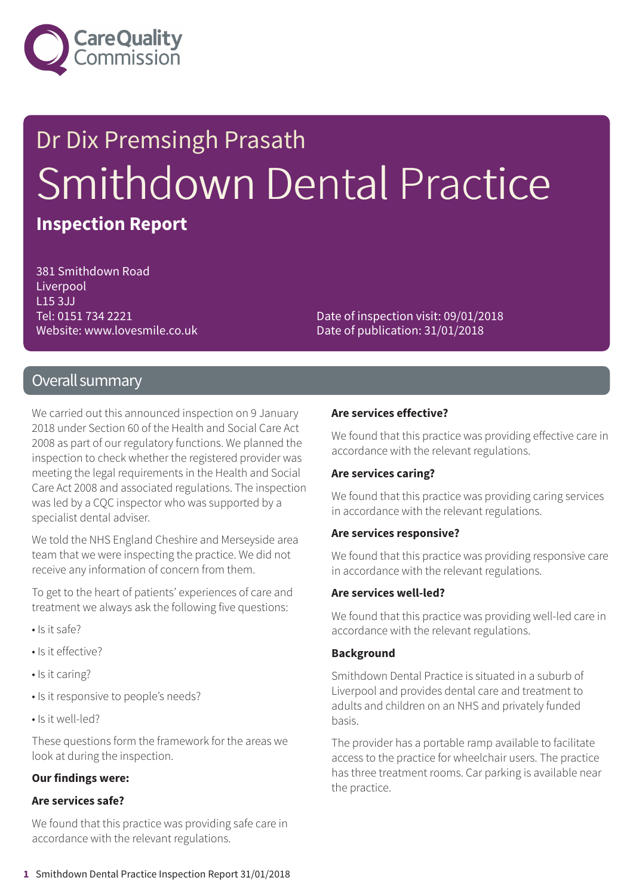

# Dr Dix Premsingh Prasath Smithdown Dental Practice **Inspection Report**

381 Smithdown Road **Liverpool** L15 3JJ Tel: 0151 734 2221 Website: www.lovesmile.co.uk

Date of inspection visit: 09/01/2018 Date of publication: 31/01/2018

### Overall summary

We carried out this announced inspection on 9 January 2018 under Section 60 of the Health and Social Care Act 2008 as part of our regulatory functions. We planned the inspection to check whether the registered provider was meeting the legal requirements in the Health and Social Care Act 2008 and associated regulations. The inspection was led by a CQC inspector who was supported by a specialist dental adviser.

We told the NHS England Cheshire and Merseyside area team that we were inspecting the practice. We did not receive any information of concern from them.

To get to the heart of patients' experiences of care and treatment we always ask the following five questions:

- Is it safe?
- Is it effective?
- Is it caring?
- Is it responsive to people's needs?
- Is it well-led?

These questions form the framework for the areas we look at during the inspection.

#### **Our findings were:**

#### **Are services safe?**

We found that this practice was providing safe care in accordance with the relevant regulations.

#### **Are services effective?**

We found that this practice was providing effective care in accordance with the relevant regulations.

#### **Are services caring?**

We found that this practice was providing caring services in accordance with the relevant regulations.

#### **Are services responsive?**

We found that this practice was providing responsive care in accordance with the relevant regulations.

#### **Are services well-led?**

We found that this practice was providing well-led care in accordance with the relevant regulations.

#### **Background**

Smithdown Dental Practice is situated in a suburb of Liverpool and provides dental care and treatment to adults and children on an NHS and privately funded basis.

The provider has a portable ramp available to facilitate access to the practice for wheelchair users. The practice has three treatment rooms. Car parking is available near the practice.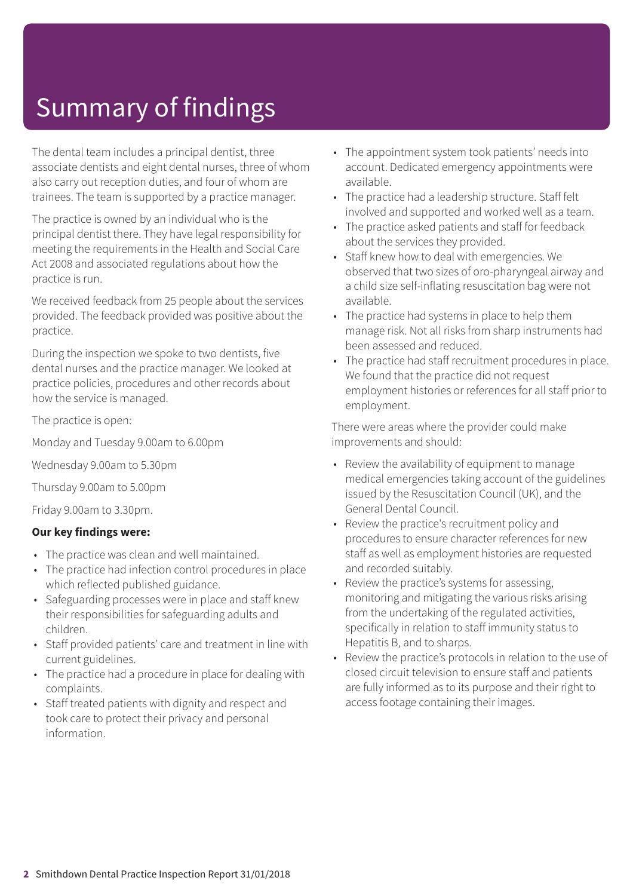# Summary of findings

The dental team includes a principal dentist, three associate dentists and eight dental nurses, three of whom also carry out reception duties, and four of whom are trainees. The team is supported by a practice manager.

The practice is owned by an individual who is the principal dentist there. They have legal responsibility for meeting the requirements in the Health and Social Care Act 2008 and associated regulations about how the practice is run.

We received feedback from 25 people about the services provided. The feedback provided was positive about the practice.

During the inspection we spoke to two dentists, five dental nurses and the practice manager. We looked at practice policies, procedures and other records about how the service is managed.

The practice is open:

Monday and Tuesday 9.00am to 6.00pm

Wednesday 9.00am to 5.30pm

Thursday 9.00am to 5.00pm

Friday 9.00am to 3.30pm.

### **Our key findings were:**

- The practice was clean and well maintained.
- The practice had infection control procedures in place which reflected published guidance.
- Safeguarding processes were in place and staff knew their responsibilities for safeguarding adults and children.
- Staff provided patients' care and treatment in line with current guidelines.
- The practice had a procedure in place for dealing with complaints.
- Staff treated patients with dignity and respect and took care to protect their privacy and personal information.
- The appointment system took patients' needs into account. Dedicated emergency appointments were available.
- The practice had a leadership structure. Staff felt involved and supported and worked well as a team.
- The practice asked patients and staff for feedback about the services they provided.
- Staff knew how to deal with emergencies. We observed that two sizes of oro-pharyngeal airway and a child size self-inflating resuscitation bag were not available.
- The practice had systems in place to help them manage risk. Not all risks from sharp instruments had been assessed and reduced.
- The practice had staff recruitment procedures in place. We found that the practice did not request employment histories or references for all staff prior to employment.

There were areas where the provider could make improvements and should:

- Review the availability of equipment to manage medical emergencies taking account of the guidelines issued by the Resuscitation Council (UK), and the General Dental Council.
- Review the practice's recruitment policy and procedures to ensure character references for new staff as well as employment histories are requested and recorded suitably.
- Review the practice's systems for assessing, monitoring and mitigating the various risks arising from the undertaking of the regulated activities, specifically in relation to staff immunity status to Hepatitis B, and to sharps.
- Review the practice's protocols in relation to the use of closed circuit television to ensure staff and patients are fully informed as to its purpose and their right to access footage containing their images.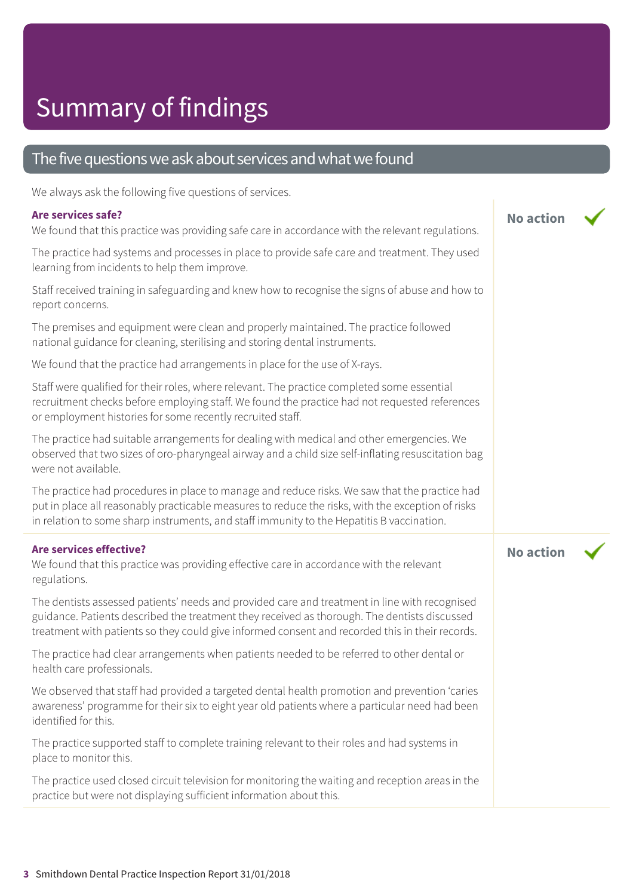# Summary of findings

### The five questions we ask about services and what we found

We always ask the following five questions of services.

#### **Are services safe?**

We found that this practice was providing safe care in accordance with the relevant regulations.

**No action**

**No action**

The practice had systems and processes in place to provide safe care and treatment. They used learning from incidents to help them improve.

Staff received training in safeguarding and knew how to recognise the signs of abuse and how to report concerns.

The premises and equipment were clean and properly maintained. The practice followed national guidance for cleaning, sterilising and storing dental instruments.

We found that the practice had arrangements in place for the use of X-rays.

Staff were qualified for their roles, where relevant. The practice completed some essential recruitment checks before employing staff. We found the practice had not requested references or employment histories for some recently recruited staff.

The practice had suitable arrangements for dealing with medical and other emergencies. We observed that two sizes of oro-pharyngeal airway and a child size self-inflating resuscitation bag were not available.

The practice had procedures in place to manage and reduce risks. We saw that the practice had put in place all reasonably practicable measures to reduce the risks, with the exception of risks in relation to some sharp instruments, and staff immunity to the Hepatitis B vaccination.

#### **Are services effective?**

We found that this practice was providing effective care in accordance with the relevant regulations.

The dentists assessed patients' needs and provided care and treatment in line with recognised guidance. Patients described the treatment they received as thorough. The dentists discussed treatment with patients so they could give informed consent and recorded this in their records.

The practice had clear arrangements when patients needed to be referred to other dental or health care professionals.

We observed that staff had provided a targeted dental health promotion and prevention 'caries awareness' programme for their six to eight year old patients where a particular need had been identified for this.

The practice supported staff to complete training relevant to their roles and had systems in place to monitor this.

The practice used closed circuit television for monitoring the waiting and reception areas in the practice but were not displaying sufficient information about this.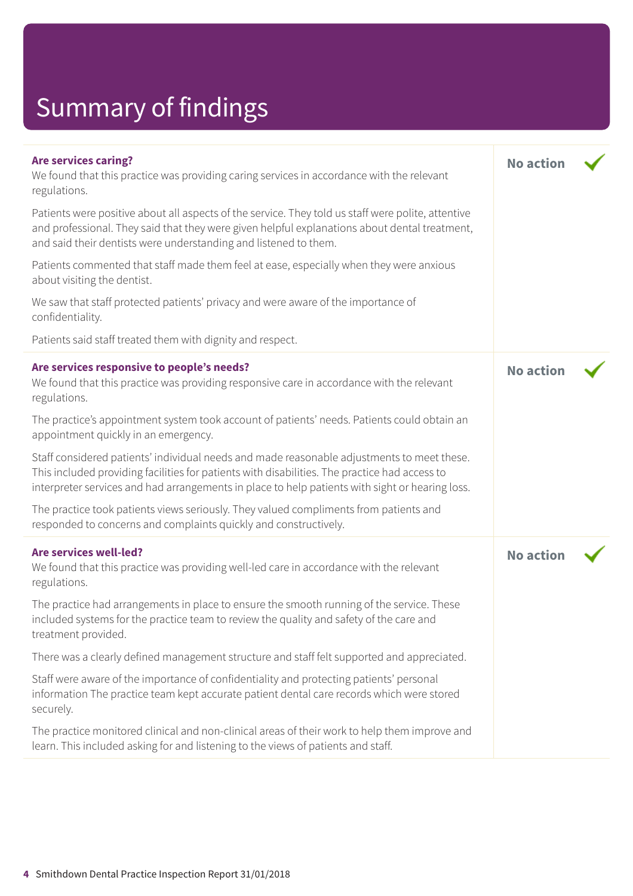# Summary of findings

| <b>Are services caring?</b><br>We found that this practice was providing caring services in accordance with the relevant<br>regulations.                                                                                                                                                       | <b>No action</b> |  |
|------------------------------------------------------------------------------------------------------------------------------------------------------------------------------------------------------------------------------------------------------------------------------------------------|------------------|--|
| Patients were positive about all aspects of the service. They told us staff were polite, attentive<br>and professional. They said that they were given helpful explanations about dental treatment,<br>and said their dentists were understanding and listened to them.                        |                  |  |
| Patients commented that staff made them feel at ease, especially when they were anxious<br>about visiting the dentist.                                                                                                                                                                         |                  |  |
| We saw that staff protected patients' privacy and were aware of the importance of<br>confidentiality.                                                                                                                                                                                          |                  |  |
| Patients said staff treated them with dignity and respect.                                                                                                                                                                                                                                     |                  |  |
| Are services responsive to people's needs?<br>We found that this practice was providing responsive care in accordance with the relevant<br>regulations.                                                                                                                                        | <b>No action</b> |  |
| The practice's appointment system took account of patients' needs. Patients could obtain an<br>appointment quickly in an emergency.                                                                                                                                                            |                  |  |
| Staff considered patients' individual needs and made reasonable adjustments to meet these.<br>This included providing facilities for patients with disabilities. The practice had access to<br>interpreter services and had arrangements in place to help patients with sight or hearing loss. |                  |  |
| The practice took patients views seriously. They valued compliments from patients and<br>responded to concerns and complaints quickly and constructively.                                                                                                                                      |                  |  |
| Are services well-led?<br>We found that this practice was providing well-led care in accordance with the relevant<br>regulations.                                                                                                                                                              | <b>No action</b> |  |
| The practice had arrangements in place to ensure the smooth running of the service. These<br>included systems for the practice team to review the quality and safety of the care and<br>treatment provided.                                                                                    |                  |  |
| There was a clearly defined management structure and staff felt supported and appreciated.                                                                                                                                                                                                     |                  |  |
| Staff were aware of the importance of confidentiality and protecting patients' personal<br>information The practice team kept accurate patient dental care records which were stored<br>securely.                                                                                              |                  |  |
| The practice monitored clinical and non-clinical areas of their work to help them improve and<br>learn. This included asking for and listening to the views of patients and staff.                                                                                                             |                  |  |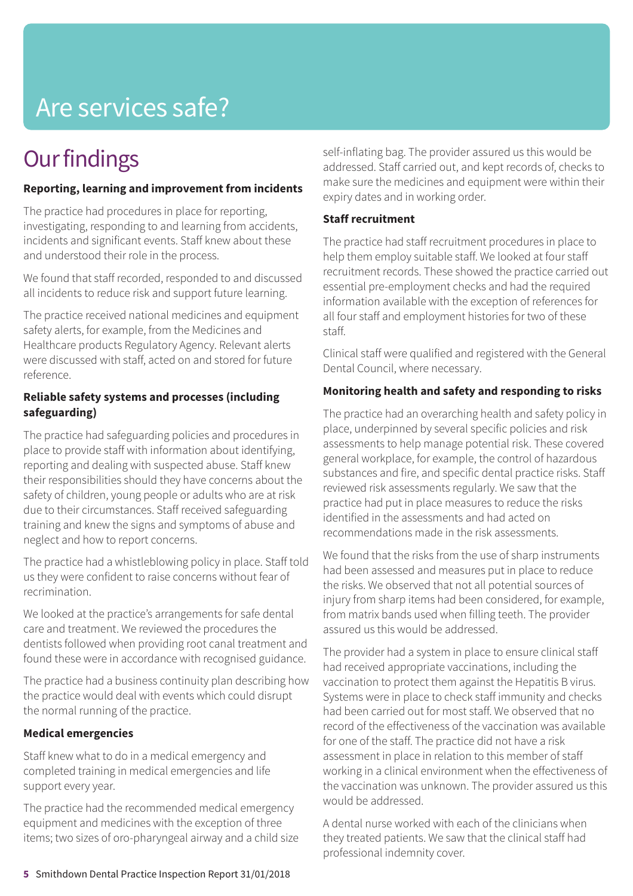# Are services safe?

### **Our findings**

### **Reporting, learning and improvement from incidents**

The practice had procedures in place for reporting, investigating, responding to and learning from accidents, incidents and significant events. Staff knew about these and understood their role in the process.

We found that staff recorded, responded to and discussed all incidents to reduce risk and support future learning.

The practice received national medicines and equipment safety alerts, for example, from the Medicines and Healthcare products Regulatory Agency. Relevant alerts were discussed with staff, acted on and stored for future reference.

### **Reliable safety systems and processes (including safeguarding)**

The practice had safeguarding policies and procedures in place to provide staff with information about identifying, reporting and dealing with suspected abuse. Staff knew their responsibilities should they have concerns about the safety of children, young people or adults who are at risk due to their circumstances. Staff received safeguarding training and knew the signs and symptoms of abuse and neglect and how to report concerns.

The practice had a whistleblowing policy in place. Staff told us they were confident to raise concerns without fear of recrimination.

We looked at the practice's arrangements for safe dental care and treatment. We reviewed the procedures the dentists followed when providing root canal treatment and found these were in accordance with recognised guidance.

The practice had a business continuity plan describing how the practice would deal with events which could disrupt the normal running of the practice.

### **Medical emergencies**

Staff knew what to do in a medical emergency and completed training in medical emergencies and life support every year.

The practice had the recommended medical emergency equipment and medicines with the exception of three items; two sizes of oro-pharyngeal airway and a child size self-inflating bag. The provider assured us this would be addressed. Staff carried out, and kept records of, checks to make sure the medicines and equipment were within their expiry dates and in working order.

### **Staff recruitment**

The practice had staff recruitment procedures in place to help them employ suitable staff. We looked at four staff recruitment records. These showed the practice carried out essential pre-employment checks and had the required information available with the exception of references for all four staff and employment histories for two of these staff.

Clinical staff were qualified and registered with the General Dental Council, where necessary.

### **Monitoring health and safety and responding to risks**

The practice had an overarching health and safety policy in place, underpinned by several specific policies and risk assessments to help manage potential risk. These covered general workplace, for example, the control of hazardous substances and fire, and specific dental practice risks. Staff reviewed risk assessments regularly. We saw that the practice had put in place measures to reduce the risks identified in the assessments and had acted on recommendations made in the risk assessments.

We found that the risks from the use of sharp instruments had been assessed and measures put in place to reduce the risks. We observed that not all potential sources of injury from sharp items had been considered, for example, from matrix bands used when filling teeth. The provider assured us this would be addressed.

The provider had a system in place to ensure clinical staff had received appropriate vaccinations, including the vaccination to protect them against the Hepatitis B virus. Systems were in place to check staff immunity and checks had been carried out for most staff. We observed that no record of the effectiveness of the vaccination was available for one of the staff. The practice did not have a risk assessment in place in relation to this member of staff working in a clinical environment when the effectiveness of the vaccination was unknown. The provider assured us this would be addressed.

A dental nurse worked with each of the clinicians when they treated patients. We saw that the clinical staff had professional indemnity cover.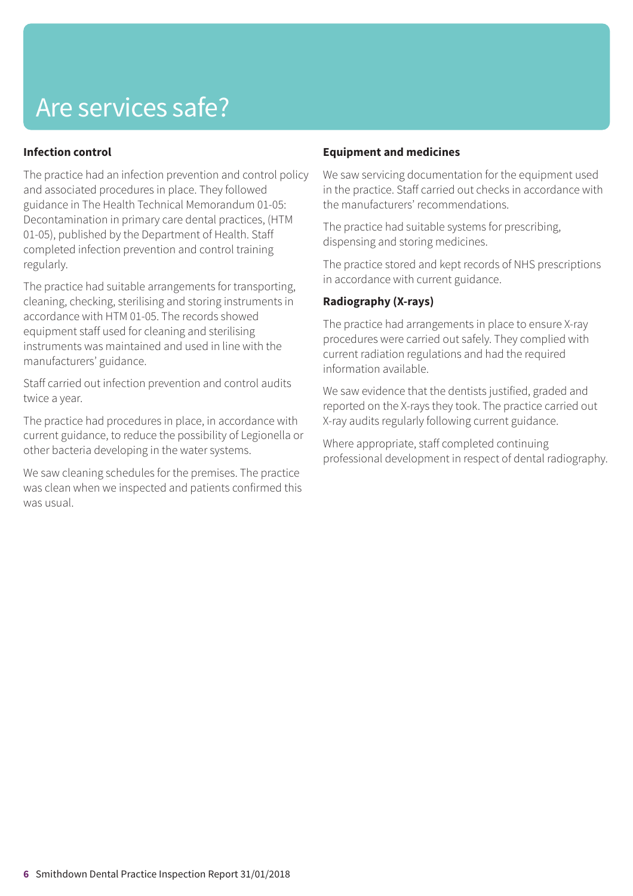## Are services safe?

### **Infection control**

The practice had an infection prevention and control policy and associated procedures in place. They followed guidance in The Health Technical Memorandum 01-05: Decontamination in primary care dental practices, (HTM 01-05), published by the Department of Health. Staff completed infection prevention and control training regularly.

The practice had suitable arrangements for transporting, cleaning, checking, sterilising and storing instruments in accordance with HTM 01-05. The records showed equipment staff used for cleaning and sterilising instruments was maintained and used in line with the manufacturers' guidance.

Staff carried out infection prevention and control audits twice a year.

The practice had procedures in place, in accordance with current guidance, to reduce the possibility of Legionella or other bacteria developing in the water systems.

We saw cleaning schedules for the premises. The practice was clean when we inspected and patients confirmed this was usual.

### **Equipment and medicines**

We saw servicing documentation for the equipment used in the practice. Staff carried out checks in accordance with the manufacturers' recommendations.

The practice had suitable systems for prescribing, dispensing and storing medicines.

The practice stored and kept records of NHS prescriptions in accordance with current guidance.

### **Radiography (X-rays)**

The practice had arrangements in place to ensure X-ray procedures were carried out safely. They complied with current radiation regulations and had the required information available.

We saw evidence that the dentists justified, graded and reported on the X-rays they took. The practice carried out X-ray audits regularly following current guidance.

Where appropriate, staff completed continuing professional development in respect of dental radiography.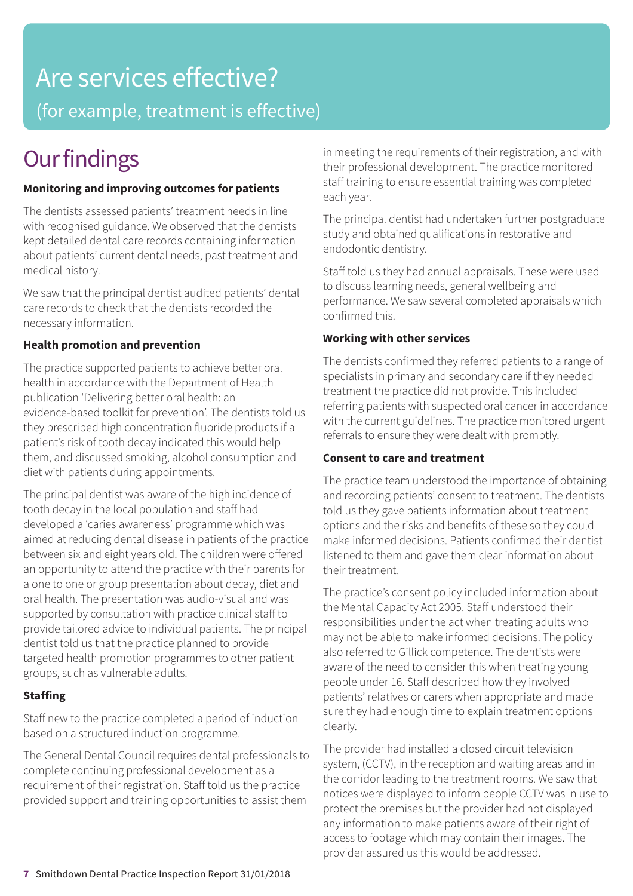# Are services effective?

(for example, treatment is effective)

# **Our findings**

### **Monitoring and improving outcomes for patients**

The dentists assessed patients' treatment needs in line with recognised guidance. We observed that the dentists kept detailed dental care records containing information about patients' current dental needs, past treatment and medical history.

We saw that the principal dentist audited patients' dental care records to check that the dentists recorded the necessary information.

### **Health promotion and prevention**

The practice supported patients to achieve better oral health in accordance with the Department of Health publication 'Delivering better oral health: an evidence-based toolkit for prevention'. The dentists told us they prescribed high concentration fluoride products if a patient's risk of tooth decay indicated this would help them, and discussed smoking, alcohol consumption and diet with patients during appointments.

The principal dentist was aware of the high incidence of tooth decay in the local population and staff had developed a 'caries awareness' programme which was aimed at reducing dental disease in patients of the practice between six and eight years old. The children were offered an opportunity to attend the practice with their parents for a one to one or group presentation about decay, diet and oral health. The presentation was audio-visual and was supported by consultation with practice clinical staff to provide tailored advice to individual patients. The principal dentist told us that the practice planned to provide targeted health promotion programmes to other patient groups, such as vulnerable adults.

### **Staffing**

Staff new to the practice completed a period of induction based on a structured induction programme.

The General Dental Council requires dental professionals to complete continuing professional development as a requirement of their registration. Staff told us the practice provided support and training opportunities to assist them

in meeting the requirements of their registration, and with their professional development. The practice monitored staff training to ensure essential training was completed each year.

The principal dentist had undertaken further postgraduate study and obtained qualifications in restorative and endodontic dentistry.

Staff told us they had annual appraisals. These were used to discuss learning needs, general wellbeing and performance. We saw several completed appraisals which confirmed this.

### **Working with other services**

The dentists confirmed they referred patients to a range of specialists in primary and secondary care if they needed treatment the practice did not provide. This included referring patients with suspected oral cancer in accordance with the current guidelines. The practice monitored urgent referrals to ensure they were dealt with promptly.

### **Consent to care and treatment**

The practice team understood the importance of obtaining and recording patients' consent to treatment. The dentists told us they gave patients information about treatment options and the risks and benefits of these so they could make informed decisions. Patients confirmed their dentist listened to them and gave them clear information about their treatment.

The practice's consent policy included information about the Mental Capacity Act 2005. Staff understood their responsibilities under the act when treating adults who may not be able to make informed decisions. The policy also referred to Gillick competence. The dentists were aware of the need to consider this when treating young people under 16. Staff described how they involved patients' relatives or carers when appropriate and made sure they had enough time to explain treatment options clearly.

The provider had installed a closed circuit television system, (CCTV), in the reception and waiting areas and in the corridor leading to the treatment rooms. We saw that notices were displayed to inform people CCTV was in use to protect the premises but the provider had not displayed any information to make patients aware of their right of access to footage which may contain their images. The provider assured us this would be addressed.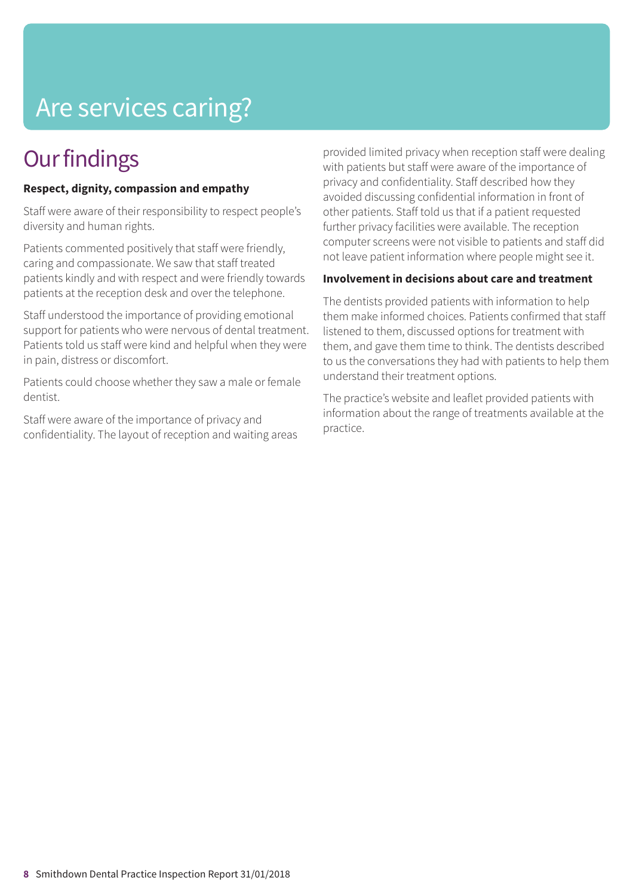# Are services caring?

### **Our findings**

### **Respect, dignity, compassion and empathy**

Staff were aware of their responsibility to respect people's diversity and human rights.

Patients commented positively that staff were friendly, caring and compassionate. We saw that staff treated patients kindly and with respect and were friendly towards patients at the reception desk and over the telephone.

Staff understood the importance of providing emotional support for patients who were nervous of dental treatment. Patients told us staff were kind and helpful when they were in pain, distress or discomfort.

Patients could choose whether they saw a male or female dentist.

Staff were aware of the importance of privacy and confidentiality. The layout of reception and waiting areas provided limited privacy when reception staff were dealing with patients but staff were aware of the importance of privacy and confidentiality. Staff described how they avoided discussing confidential information in front of other patients. Staff told us that if a patient requested further privacy facilities were available. The reception computer screens were not visible to patients and staff did not leave patient information where people might see it.

### **Involvement in decisions about care and treatment**

The dentists provided patients with information to help them make informed choices. Patients confirmed that staff listened to them, discussed options for treatment with them, and gave them time to think. The dentists described to us the conversations they had with patients to help them understand their treatment options.

The practice's website and leaflet provided patients with information about the range of treatments available at the practice.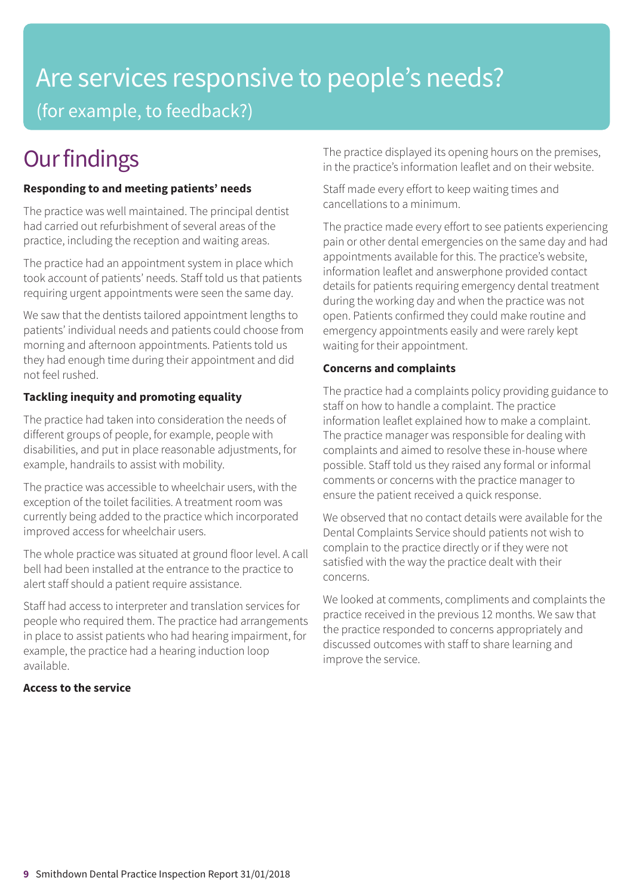## Are services responsive to people's needs? (for example, to feedback?)

## **Our findings**

### **Responding to and meeting patients' needs**

The practice was well maintained. The principal dentist had carried out refurbishment of several areas of the practice, including the reception and waiting areas.

The practice had an appointment system in place which took account of patients' needs. Staff told us that patients requiring urgent appointments were seen the same day.

We saw that the dentists tailored appointment lengths to patients' individual needs and patients could choose from morning and afternoon appointments. Patients told us they had enough time during their appointment and did not feel rushed.

### **Tackling inequity and promoting equality**

The practice had taken into consideration the needs of different groups of people, for example, people with disabilities, and put in place reasonable adjustments, for example, handrails to assist with mobility.

The practice was accessible to wheelchair users, with the exception of the toilet facilities. A treatment room was currently being added to the practice which incorporated improved access for wheelchair users.

The whole practice was situated at ground floor level. A call bell had been installed at the entrance to the practice to alert staff should a patient require assistance.

Staff had access to interpreter and translation services for people who required them. The practice had arrangements in place to assist patients who had hearing impairment, for example, the practice had a hearing induction loop available.

### **Access to the service**

The practice displayed its opening hours on the premises, in the practice's information leaflet and on their website.

Staff made every effort to keep waiting times and cancellations to a minimum.

The practice made every effort to see patients experiencing pain or other dental emergencies on the same day and had appointments available for this. The practice's website, information leaflet and answerphone provided contact details for patients requiring emergency dental treatment during the working day and when the practice was not open. Patients confirmed they could make routine and emergency appointments easily and were rarely kept waiting for their appointment.

### **Concerns and complaints**

The practice had a complaints policy providing guidance to staff on how to handle a complaint. The practice information leaflet explained how to make a complaint. The practice manager was responsible for dealing with complaints and aimed to resolve these in-house where possible. Staff told us they raised any formal or informal comments or concerns with the practice manager to ensure the patient received a quick response.

We observed that no contact details were available for the Dental Complaints Service should patients not wish to complain to the practice directly or if they were not satisfied with the way the practice dealt with their concerns.

We looked at comments, compliments and complaints the practice received in the previous 12 months. We saw that the practice responded to concerns appropriately and discussed outcomes with staff to share learning and improve the service.